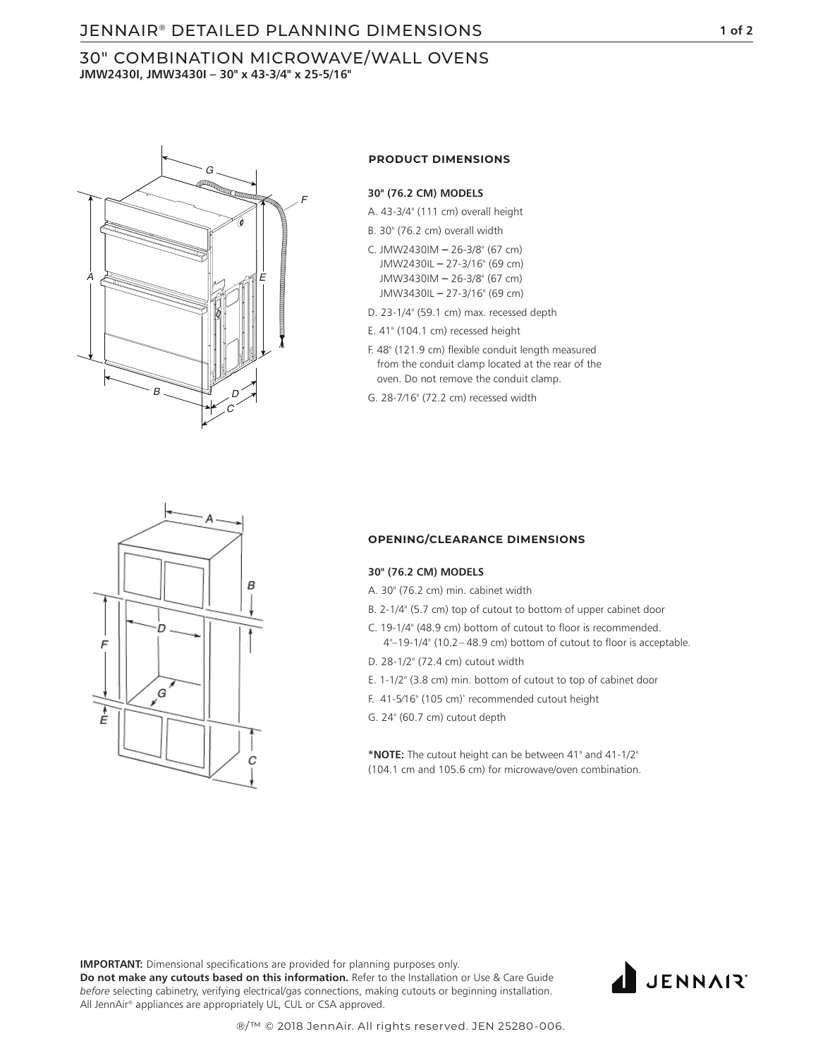# JENNAIR **1 of 2** ® DETAILED PLANNING DIMENSIONS

# 30" COMBINATION MICROWAVE/WALL OVENS **JMW2430I, JMW3430I – 30" x 43-3/4" x 25-5/16"**



### **PRODUCT DIMENSIONS**

#### **30" (76.2 CM) MODELS**

- A. 43-3/4" (111 cm) overall height
- B. 30" (76.2 cm) overall width
- C. JMW2430IM **–** 26-3/8" (67 cm) JMW2430IL **–** 27-3/16" (69 cm) JMW3430IM **–** 26-3/8" (67 cm) JMW3430IL **–** 27-3/16" (69 cm)
- D. 23-1/4" (59.1 cm) max. recessed depth
- E. 41" (104.1 cm) recessed height
- F. 48" (121.9 cm) flexible conduit length measured from the conduit clamp located at the rear of the oven. Do not remove the conduit clamp.
- G. 28-7⁄16" (72.2 cm) recessed width



#### **OPENING/CLEARANCE DIMENSIONS**

### **30" (76.2 CM) MODELS**

- A. 30" (76.2 cm) min. cabinet width
- B. 2-1/4" (5.7 cm) top of cutout to bottom of upper cabinet door
- C. 19-1/4" (48.9 cm) bottom of cutout to floor is recommended. 4"–19-1/4" (10.2– 48.9 cm) bottom of cutout to floor is acceptable.
- D. 28-1/2" (72.4 cm) cutout width
- E. 1-1/2" (3.8 cm) min. bottom of cutout to top of cabinet door
- F. 41-5⁄16" (105 cm)\* recommended cutout height
- G. 24" (60.7 cm) cutout depth

**\*NOTE:** The cutout height can be between 41" and 41-1/2" (104.1 cm and 105.6 cm) for microwave/oven combination.

**IMPORTANT:** Dimensional specifications are provided for planning purposes only.

**Do not make any cutouts based on this information.** Refer to the Installation or Use & Care Guide *before* selecting cabinetry, verifying electrical/gas connections, making cutouts or beginning installation. All JennAir® appliances are appropriately UL, CUL or CSA approved.